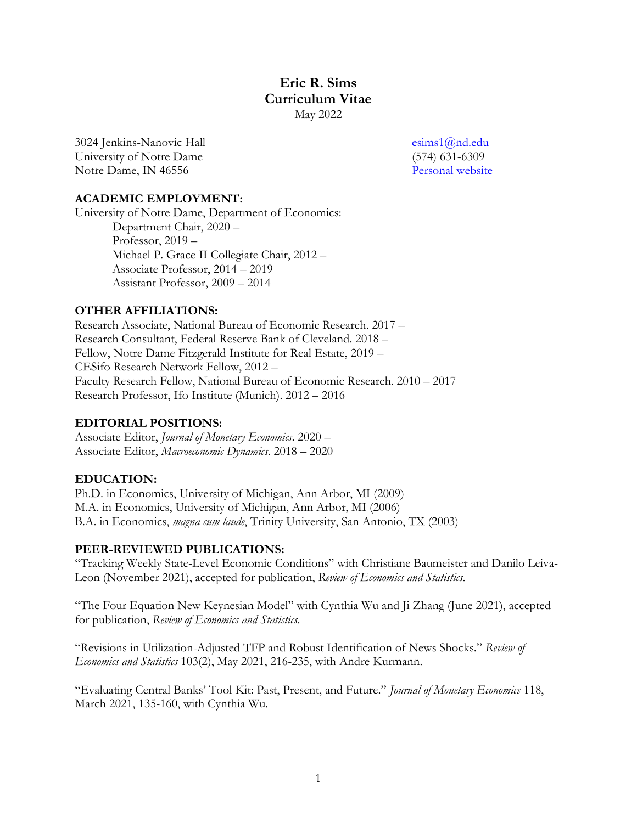# **Eric R. Sims Curriculum Vitae**  May 2022

3024 Jenkins-Nanovic Hall [esims1@nd.edu](mailto:esims1@nd.edu) University of Notre Dame (574) 631-6309 Notre Dame, IN 46556 Personal website

### **ACADEMIC EMPLOYMENT:**

University of Notre Dame, Department of Economics: Department Chair, 2020 – Professor, 2019 – Michael P. Grace II Collegiate Chair, 2012 – Associate Professor, 2014 – 2019 Assistant Professor, 2009 – 2014

### **OTHER AFFILIATIONS:**

Research Associate, National Bureau of Economic Research. 2017 – Research Consultant, Federal Reserve Bank of Cleveland. 2018 – Fellow, Notre Dame Fitzgerald Institute for Real Estate, 2019 – CESifo Research Network Fellow, 2012 – Faculty Research Fellow, National Bureau of Economic Research. 2010 – 2017 Research Professor, Ifo Institute (Munich). 2012 – 2016

## **EDITORIAL POSITIONS:**

Associate Editor, *Journal of Monetary Economics*. 2020 – Associate Editor, *Macroeconomic Dynamics*. 2018 – 2020

## **EDUCATION:**

Ph.D. in Economics, University of Michigan, Ann Arbor, MI (2009) M.A. in Economics, University of Michigan, Ann Arbor, MI (2006) B.A. in Economics, *magna cum laude*, Trinity University, San Antonio, TX (2003)

### **PEER-REVIEWED PUBLICATIONS:**

"Tracking Weekly State-Level Economic Conditions" with Christiane Baumeister and Danilo Leiva-Leon (November 2021), accepted for publication, *Review of Economics and Statistics*.

"The Four Equation New Keynesian Model" with Cynthia Wu and Ji Zhang (June 2021), accepted for publication, *Review of Economics and Statistics*.

"Revisions in Utilization-Adjusted TFP and Robust Identification of News Shocks." *Review of Economics and Statistics* 103(2), May 2021, 216-235, with Andre Kurmann.

"Evaluating Central Banks' Tool Kit: Past, Present, and Future." *Journal of Monetary Economics* 118, March 2021, 135-160, with Cynthia Wu.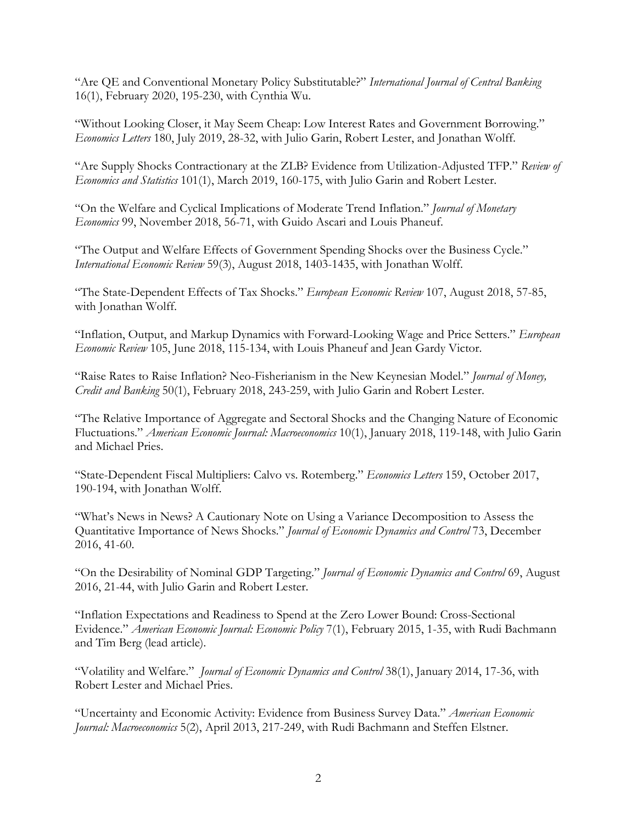"Are QE and Conventional Monetary Policy Substitutable?" *International Journal of Central Banking* 16(1), February 2020, 195-230, with Cynthia Wu.

"Without Looking Closer, it May Seem Cheap: Low Interest Rates and Government Borrowing." *Economics Letters* 180, July 2019, 28-32, with Julio Garin, Robert Lester, and Jonathan Wolff.

"Are Supply Shocks Contractionary at the ZLB? Evidence from Utilization-Adjusted TFP." *Review of Economics and Statistics* 101(1), March 2019, 160-175, with Julio Garin and Robert Lester.

"On the Welfare and Cyclical Implications of Moderate Trend Inflation." *Journal of Monetary Economics* 99, November 2018, 56-71, with Guido Ascari and Louis Phaneuf.

"The Output and Welfare Effects of Government Spending Shocks over the Business Cycle." *International Economic Review* 59(3), August 2018, 1403-1435, with Jonathan Wolff.

"The State-Dependent Effects of Tax Shocks." *European Economic Review* 107, August 2018, 57-85, with Jonathan Wolff.

"Inflation, Output, and Markup Dynamics with Forward-Looking Wage and Price Setters." *European Economic Review* 105, June 2018, 115-134, with Louis Phaneuf and Jean Gardy Victor.

"Raise Rates to Raise Inflation? Neo-Fisherianism in the New Keynesian Model." *Journal of Money, Credit and Banking* 50(1), February 2018, 243-259, with Julio Garin and Robert Lester.

"The Relative Importance of Aggregate and Sectoral Shocks and the Changing Nature of Economic Fluctuations." *American Economic Journal: Macroeconomics* 10(1), January 2018, 119-148, with Julio Garin and Michael Pries.

"State-Dependent Fiscal Multipliers: Calvo vs. Rotemberg." *Economics Letters* 159, October 2017, 190-194, with Jonathan Wolff.

"What's News in News? A Cautionary Note on Using a Variance Decomposition to Assess the Quantitative Importance of News Shocks." *Journal of Economic Dynamics and Control* 73, December 2016, 41-60.

"On the Desirability of Nominal GDP Targeting." *Journal of Economic Dynamics and Control* 69, August 2016, 21-44, with Julio Garin and Robert Lester.

"Inflation Expectations and Readiness to Spend at the Zero Lower Bound: Cross-Sectional Evidence." *American Economic Journal: Economic Policy* 7(1), February 2015, 1-35, with Rudi Bachmann and Tim Berg (lead article).

"Volatility and Welfare." *Journal of Economic Dynamics and Control* 38(1), January 2014, 17-36, with Robert Lester and Michael Pries.

"Uncertainty and Economic Activity: Evidence from Business Survey Data." *American Economic Journal: Macroeconomics* 5(2), April 2013, 217-249, with Rudi Bachmann and Steffen Elstner.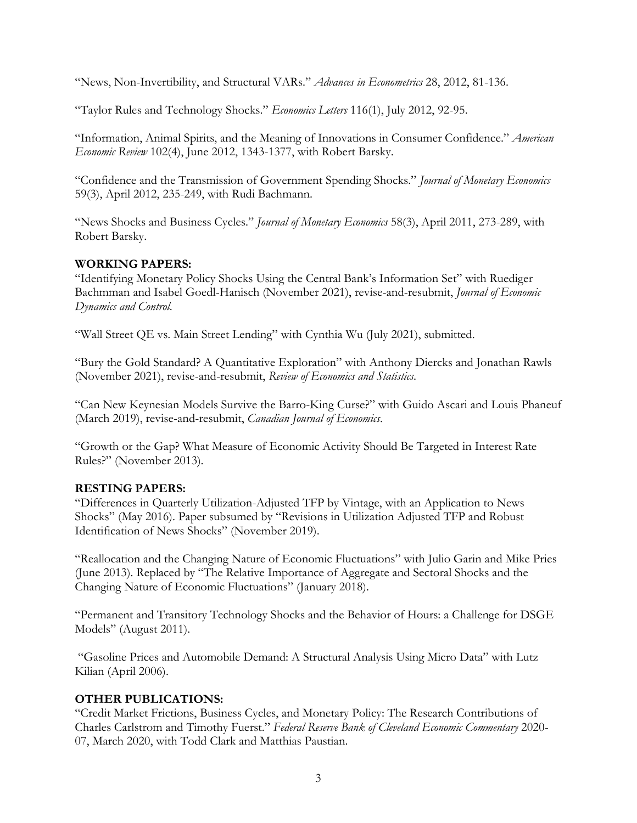"News, Non-Invertibility, and Structural VARs." *Advances in Econometrics* 28, 2012, 81-136.

"Taylor Rules and Technology Shocks." *Economics Letters* 116(1), July 2012, 92-95.

"Information, Animal Spirits, and the Meaning of Innovations in Consumer Confidence." *American Economic Review* 102(4), June 2012, 1343-1377, with Robert Barsky.

"Confidence and the Transmission of Government Spending Shocks." *Journal of Monetary Economics*  59(3), April 2012, 235-249, with Rudi Bachmann.

"News Shocks and Business Cycles." *Journal of Monetary Economics* 58(3), April 2011, 273-289, with Robert Barsky.

### **WORKING PAPERS:**

"Identifying Monetary Policy Shocks Using the Central Bank's Information Set" with Ruediger Bachmman and Isabel Goedl-Hanisch (November 2021), revise-and-resubmit, *Journal of Economic Dynamics and Control*.

"Wall Street QE vs. Main Street Lending" with Cynthia Wu (July 2021), submitted.

"Bury the Gold Standard? A Quantitative Exploration" with Anthony Diercks and Jonathan Rawls (November 2021), revise-and-resubmit, *Review of Economics and Statistics*.

"Can New Keynesian Models Survive the Barro-King Curse?" with Guido Ascari and Louis Phaneuf (March 2019), revise-and-resubmit, *Canadian Journal of Economics*.

"Growth or the Gap? What Measure of Economic Activity Should Be Targeted in Interest Rate Rules?" (November 2013).

### **RESTING PAPERS:**

"Differences in Quarterly Utilization-Adjusted TFP by Vintage, with an Application to News Shocks" (May 2016). Paper subsumed by "Revisions in Utilization Adjusted TFP and Robust Identification of News Shocks" (November 2019).

"Reallocation and the Changing Nature of Economic Fluctuations" with Julio Garin and Mike Pries (June 2013). Replaced by "The Relative Importance of Aggregate and Sectoral Shocks and the Changing Nature of Economic Fluctuations" (January 2018).

"Permanent and Transitory Technology Shocks and the Behavior of Hours: a Challenge for DSGE Models" (August 2011).

"Gasoline Prices and Automobile Demand: A Structural Analysis Using Micro Data" with Lutz Kilian (April 2006).

## **OTHER PUBLICATIONS:**

"Credit Market Frictions, Business Cycles, and Monetary Policy: The Research Contributions of Charles Carlstrom and Timothy Fuerst." *Federal Reserve Bank of Cleveland Economic Commentary* 2020- 07, March 2020, with Todd Clark and Matthias Paustian.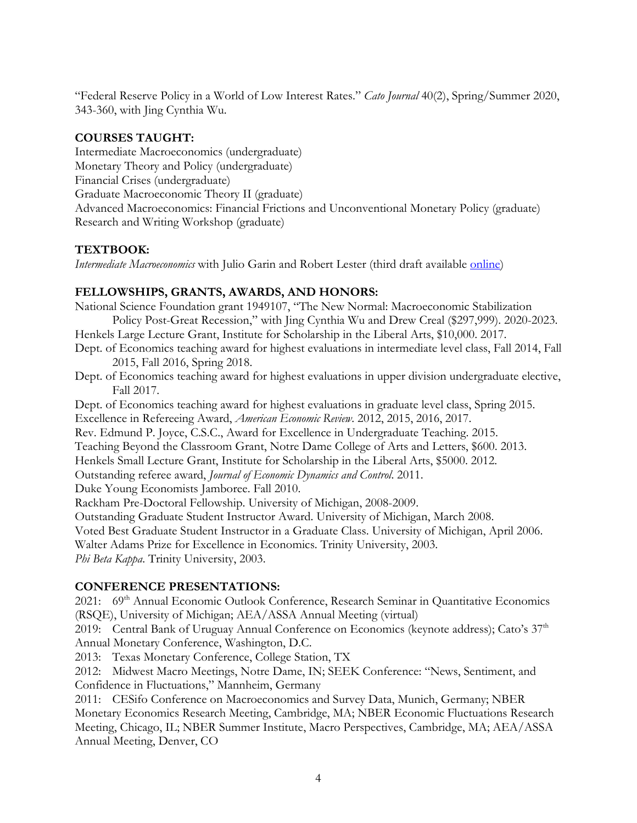"Federal Reserve Policy in a World of Low Interest Rates." *Cato Journal* 40(2), Spring/Summer 2020, 343-360, with Jing Cynthia Wu.

## **COURSES TAUGHT:**

Intermediate Macroeconomics (undergraduate) Monetary Theory and Policy (undergraduate) Financial Crises (undergraduate) Graduate Macroeconomic Theory II (graduate) Advanced Macroeconomics: Financial Frictions and Unconventional Monetary Policy (graduate) Research and Writing Workshop (graduate)

### **TEXTBOOK:**

*Intermediate Macroeconomics* with Julio Garin and Robert Lester (third draft available [online\)](https://www3.nd.edu/%7Eesims1/gls_int_macro.pdf)

## **FELLOWSHIPS, GRANTS, AWARDS, AND HONORS:**

National Science Foundation grant 1949107, "The New Normal: Macroeconomic Stabilization Policy Post-Great Recession," with Jing Cynthia Wu and Drew Creal (\$297,999). 2020-2023. Henkels Large Lecture Grant, Institute for Scholarship in the Liberal Arts, \$10,000. 2017.

- Dept. of Economics teaching award for highest evaluations in intermediate level class, Fall 2014, Fall 2015, Fall 2016, Spring 2018.
- Dept. of Economics teaching award for highest evaluations in upper division undergraduate elective, Fall 2017.

Dept. of Economics teaching award for highest evaluations in graduate level class, Spring 2015. Excellence in Refereeing Award, *American Economic Review*. 2012, 2015, 2016, 2017. Rev. Edmund P. Joyce, C.S.C., Award for Excellence in Undergraduate Teaching. 2015. Teaching Beyond the Classroom Grant, Notre Dame College of Arts and Letters, \$600. 2013. Henkels Small Lecture Grant, Institute for Scholarship in the Liberal Arts, \$5000. 2012. Outstanding referee award, *Journal of Economic Dynamics and Control*. 2011. Duke Young Economists Jamboree. Fall 2010. Rackham Pre-Doctoral Fellowship. University of Michigan, 2008-2009. Outstanding Graduate Student Instructor Award. University of Michigan, March 2008. Voted Best Graduate Student Instructor in a Graduate Class. University of Michigan, April 2006. Walter Adams Prize for Excellence in Economics. Trinity University, 2003. *Phi Beta Kappa*. Trinity University, 2003.

## **CONFERENCE PRESENTATIONS:**

2021: 69<sup>th</sup> Annual Economic Outlook Conference, Research Seminar in Quantitative Economics (RSQE), University of Michigan; AEA/ASSA Annual Meeting (virtual)

2019: Central Bank of Uruguay Annual Conference on Economics (keynote address); Cato's  $37<sup>th</sup>$ Annual Monetary Conference, Washington, D.C.

2013: Texas Monetary Conference, College Station, TX

2012: Midwest Macro Meetings, Notre Dame, IN; SEEK Conference: "News, Sentiment, and Confidence in Fluctuations," Mannheim, Germany

2011: CESifo Conference on Macroeconomics and Survey Data, Munich, Germany; NBER Monetary Economics Research Meeting, Cambridge, MA; NBER Economic Fluctuations Research Meeting, Chicago, IL; NBER Summer Institute, Macro Perspectives, Cambridge, MA; AEA/ASSA Annual Meeting, Denver, CO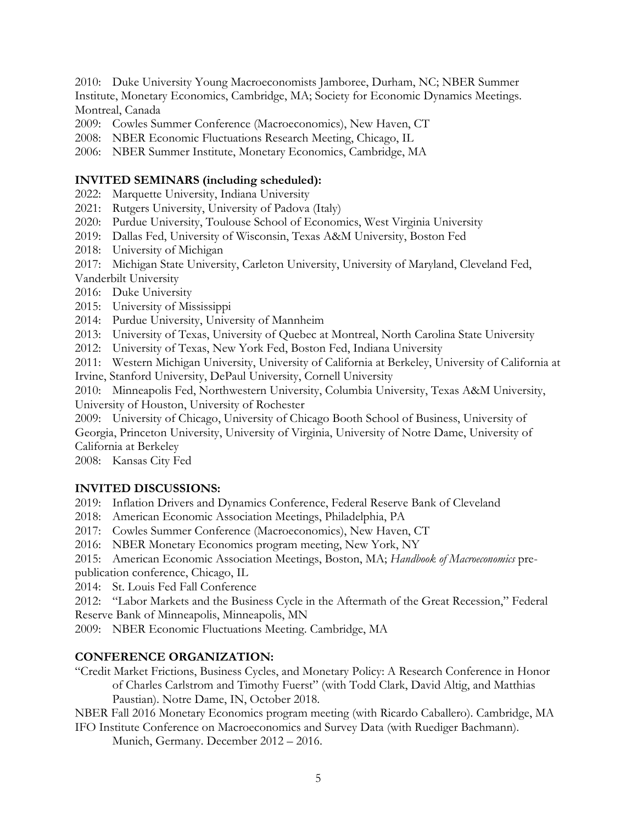2010: Duke University Young Macroeconomists Jamboree, Durham, NC; NBER Summer Institute, Monetary Economics, Cambridge, MA; Society for Economic Dynamics Meetings. Montreal, Canada

- 2009: Cowles Summer Conference (Macroeconomics), New Haven, CT
- 2008: NBER Economic Fluctuations Research Meeting, Chicago, IL
- 2006: NBER Summer Institute, Monetary Economics, Cambridge, MA

#### **INVITED SEMINARS (including scheduled):**

- 2022: Marquette University, Indiana University
- 2021: Rutgers University, University of Padova (Italy)
- 2020: Purdue University, Toulouse School of Economics, West Virginia University
- 2019: Dallas Fed, University of Wisconsin, Texas A&M University, Boston Fed
- 2018: University of Michigan

2017: Michigan State University, Carleton University, University of Maryland, Cleveland Fed, Vanderbilt University

2016: Duke University

- 2015: University of Mississippi
- 2014: Purdue University, University of Mannheim
- 2013: University of Texas, University of Quebec at Montreal, North Carolina State University
- 2012: University of Texas, New York Fed, Boston Fed, Indiana University

2011: Western Michigan University, University of California at Berkeley, University of California at

Irvine, Stanford University, DePaul University, Cornell University

2010: Minneapolis Fed, Northwestern University, Columbia University, Texas A&M University, University of Houston, University of Rochester

2009: University of Chicago, University of Chicago Booth School of Business, University of Georgia, Princeton University, University of Virginia, University of Notre Dame, University of California at Berkeley

2008: Kansas City Fed

### **INVITED DISCUSSIONS:**

2019: Inflation Drivers and Dynamics Conference, Federal Reserve Bank of Cleveland

2018: American Economic Association Meetings, Philadelphia, PA

2017: Cowles Summer Conference (Macroeconomics), New Haven, CT

2016: NBER Monetary Economics program meeting, New York, NY

2015: American Economic Association Meetings, Boston, MA; *Handbook of Macroeconomics* prepublication conference, Chicago, IL

2014: St. Louis Fed Fall Conference

2012: "Labor Markets and the Business Cycle in the Aftermath of the Great Recession," Federal Reserve Bank of Minneapolis, Minneapolis, MN

2009: NBER Economic Fluctuations Meeting. Cambridge, MA

### **CONFERENCE ORGANIZATION:**

"Credit Market Frictions, Business Cycles, and Monetary Policy: A Research Conference in Honor of Charles Carlstrom and Timothy Fuerst" (with Todd Clark, David Altig, and Matthias Paustian). Notre Dame, IN, October 2018.

NBER Fall 2016 Monetary Economics program meeting (with Ricardo Caballero). Cambridge, MA IFO Institute Conference on Macroeconomics and Survey Data (with Ruediger Bachmann).

Munich, Germany. December 2012 – 2016.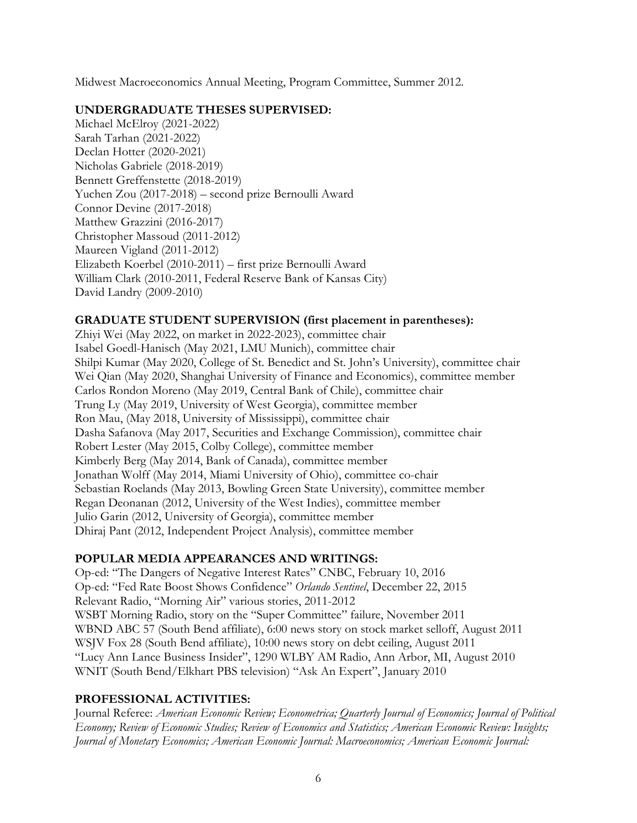Midwest Macroeconomics Annual Meeting, Program Committee, Summer 2012.

#### **UNDERGRADUATE THESES SUPERVISED:**

Michael McElroy (2021-2022) Sarah Tarhan (2021-2022) Declan Hotter (2020-2021) Nicholas Gabriele (2018-2019) Bennett Greffenstette (2018-2019) Yuchen Zou (2017-2018) – second prize Bernoulli Award Connor Devine (2017-2018) Matthew Grazzini (2016-2017) Christopher Massoud (2011-2012) Maureen Vigland (2011-2012) Elizabeth Koerbel (2010-2011) – first prize Bernoulli Award William Clark (2010-2011, Federal Reserve Bank of Kansas City) David Landry (2009-2010)

### **GRADUATE STUDENT SUPERVISION (first placement in parentheses):**

Zhiyi Wei (May 2022, on market in 2022-2023), committee chair Isabel Goedl-Hanisch (May 2021, LMU Munich), committee chair Shilpi Kumar (May 2020, College of St. Benedict and St. John's University), committee chair Wei Qian (May 2020, Shanghai University of Finance and Economics), committee member Carlos Rondon Moreno (May 2019, Central Bank of Chile), committee chair Trung Ly (May 2019, University of West Georgia), committee member Ron Mau, (May 2018, University of Mississippi), committee chair Dasha Safanova (May 2017, Securities and Exchange Commission), committee chair Robert Lester (May 2015, Colby College), committee member Kimberly Berg (May 2014, Bank of Canada), committee member Jonathan Wolff (May 2014, Miami University of Ohio), committee co-chair Sebastian Roelands (May 2013, Bowling Green State University), committee member Regan Deonanan (2012, University of the West Indies), committee member Julio Garin (2012, University of Georgia), committee member Dhiraj Pant (2012, Independent Project Analysis), committee member

### **POPULAR MEDIA APPEARANCES AND WRITINGS:**

Op-ed: "The Dangers of Negative Interest Rates" CNBC, February 10, 2016 Op-ed: "Fed Rate Boost Shows Confidence" *Orlando Sentinel*, December 22, 2015 Relevant Radio, "Morning Air" various stories, 2011-2012 WSBT Morning Radio, story on the "Super Committee" failure, November 2011 WBND ABC 57 (South Bend affiliate), 6:00 news story on stock market selloff, August 2011 WSJV Fox 28 (South Bend affiliate), 10:00 news story on debt ceiling, August 2011 "Lucy Ann Lance Business Insider", 1290 WLBY AM Radio, Ann Arbor, MI, August 2010 WNIT (South Bend/Elkhart PBS television) "Ask An Expert", January 2010

### **PROFESSIONAL ACTIVITIES:**

Journal Referee: *American Economic Review; Econometrica; Quarterly Journal of Economics; Journal of Political Economy; Review of Economic Studies; Review of Economics and Statistics; American Economic Review: Insights; Journal of Monetary Economics; American Economic Journal: Macroeconomics; American Economic Journal:*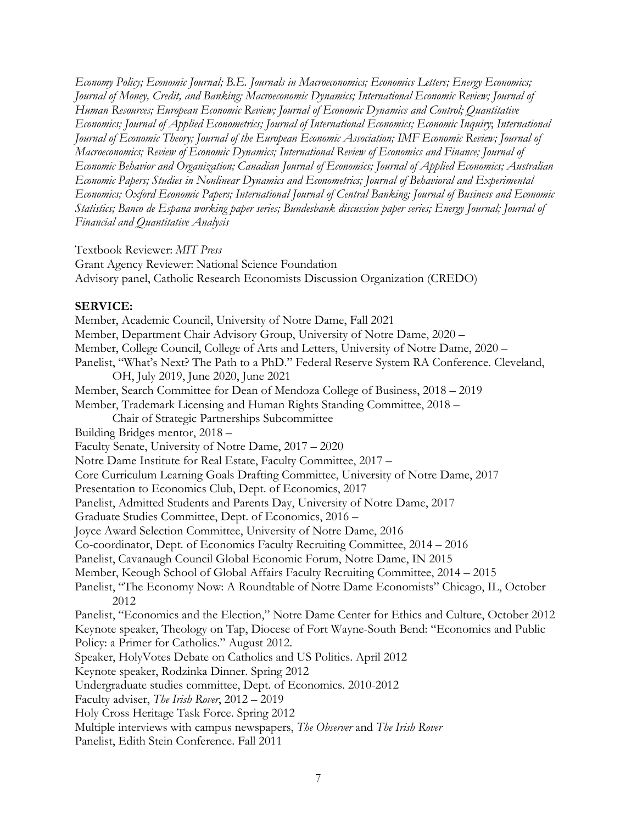*Economy Policy; Economic Journal; B.E. Journals in Macroeconomics; Economics Letters; Energy Economics; Journal of Money, Credit, and Banking; Macroeconomic Dynamics; International Economic Review; Journal of Human Resources; European Economic Review; Journal of Economic Dynamics and Control; Quantitative Economics; Journal of Applied Econometrics; Journal of International Economics; Economic Inquiry*; *International Journal of Economic Theory; Journal of the European Economic Association; IMF Economic Review; Journal of Macroeconomics; Review of Economic Dynamics; International Review of Economics and Finance; Journal of Economic Behavior and Organization; Canadian Journal of Economics; Journal of Applied Economics; Australian Economic Papers; Studies in Nonlinear Dynamics and Econometrics; Journal of Behavioral and Experimental Economics; Oxford Economic Papers; International Journal of Central Banking; Journal of Business and Economic Statistics; Banco de Espana working paper series; Bundesbank discussion paper series; Energy Journal; Journal of Financial and Quantitative Analysis*

Textbook Reviewer: *MIT Press*

Grant Agency Reviewer: National Science Foundation Advisory panel, Catholic Research Economists Discussion Organization (CREDO)

### **SERVICE:**

Member, Academic Council, University of Notre Dame, Fall 2021 Member, Department Chair Advisory Group, University of Notre Dame, 2020 – Member, College Council, College of Arts and Letters, University of Notre Dame, 2020 – Panelist, "What's Next? The Path to a PhD." Federal Reserve System RA Conference. Cleveland, OH, July 2019, June 2020, June 2021 Member, Search Committee for Dean of Mendoza College of Business, 2018 – 2019 Member, Trademark Licensing and Human Rights Standing Committee, 2018 – Chair of Strategic Partnerships Subcommittee Building Bridges mentor, 2018 – Faculty Senate, University of Notre Dame, 2017 – 2020 Notre Dame Institute for Real Estate, Faculty Committee, 2017 – Core Curriculum Learning Goals Drafting Committee, University of Notre Dame, 2017 Presentation to Economics Club, Dept. of Economics, 2017 Panelist, Admitted Students and Parents Day, University of Notre Dame, 2017 Graduate Studies Committee, Dept. of Economics, 2016 – Joyce Award Selection Committee, University of Notre Dame, 2016 Co-coordinator, Dept. of Economics Faculty Recruiting Committee, 2014 – 2016 Panelist, Cavanaugh Council Global Economic Forum, Notre Dame, IN 2015 Member, Keough School of Global Affairs Faculty Recruiting Committee, 2014 – 2015 Panelist, "The Economy Now: A Roundtable of Notre Dame Economists" Chicago, IL, October 2012 Panelist, "Economics and the Election," Notre Dame Center for Ethics and Culture, October 2012 Keynote speaker, Theology on Tap, Diocese of Fort Wayne-South Bend: "Economics and Public Policy: a Primer for Catholics." August 2012. Speaker, HolyVotes Debate on Catholics and US Politics. April 2012 Keynote speaker, Rodzinka Dinner. Spring 2012 Undergraduate studies committee, Dept. of Economics. 2010-2012 Faculty adviser, *The Irish Rover*, 2012 – 2019 Holy Cross Heritage Task Force. Spring 2012 Multiple interviews with campus newspapers, *The Observer* and *The Irish Rover* Panelist, Edith Stein Conference. Fall 2011